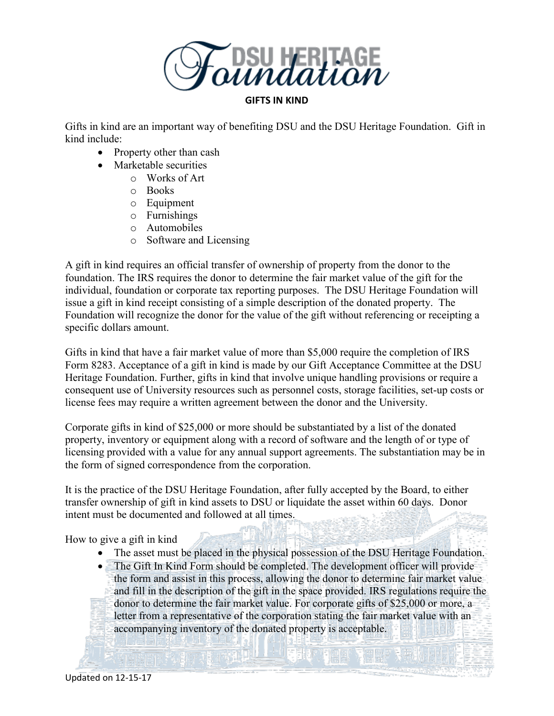

## **GIFTS IN KIND**

Gifts in kind are an important way of benefiting DSU and the DSU Heritage Foundation. Gift in kind include:

- Property other than cash
- Marketable securities
	- o Works of Art
	- o Books
	- o Equipment
	- o Furnishings
	- o Automobiles
	- o Software and Licensing

A gift in kind requires an official transfer of ownership of property from the donor to the foundation. The IRS requires the donor to determine the fair market value of the gift for the individual, foundation or corporate tax reporting purposes. The DSU Heritage Foundation will issue a gift in kind receipt consisting of a simple description of the donated property. The Foundation will recognize the donor for the value of the gift without referencing or receipting a specific dollars amount.

Gifts in kind that have a fair market value of more than \$5,000 require the completion of IRS Form 8283. Acceptance of a gift in kind is made by our Gift Acceptance Committee at the DSU Heritage Foundation. Further, gifts in kind that involve unique handling provisions or require a consequent use of University resources such as personnel costs, storage facilities, set-up costs or license fees may require a written agreement between the donor and the University.

Corporate gifts in kind of \$25,000 or more should be substantiated by a list of the donated property, inventory or equipment along with a record of software and the length of or type of licensing provided with a value for any annual support agreements. The substantiation may be in the form of signed correspondence from the corporation.

It is the practice of the DSU Heritage Foundation, after fully accepted by the Board, to either transfer ownership of gift in kind assets to DSU or liquidate the asset within 60 days. Donor intent must be documented and followed at all times.

How to give a gift in kind

- The asset must be placed in the physical possession of the DSU Heritage Foundation.
- The Gift In Kind Form should be completed. The development officer will provide the form and assist in this process, allowing the donor to determine fair market value and fill in the description of the gift in the space provided. IRS regulations require the donor to determine the fair market value. For corporate gifts of \$25,000 or more, a letter from a representative of the corporation stating the fair market value with an accompanying inventory of the donated property is acceptable. $-22 - 1$